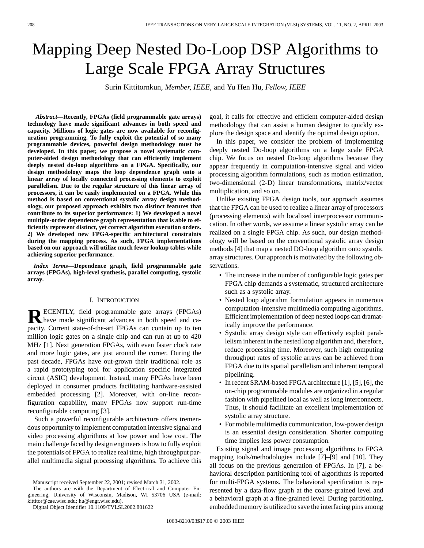# Mapping Deep Nested Do-Loop DSP Algorithms to Large Scale FPGA Array Structures

Surin Kittitornkun*, Member, IEEE,* and Yu Hen Hu*, Fellow, IEEE*

*Abstract—***Recently, FPGAs (field programmable gate arrays) technology have made significant advances in both speed and capacity. Millions of logic gates are now available for reconfiguration programming. To fully exploit the potential of so many programmable devices, powerful design methodology must be developed. In this paper, we propose a novel systematic computer-aided design methodology that can efficiently implement deeply nested do-loop algorithms on a FPGA. Specifically, our design methodology maps the loop dependence graph onto a linear array of locally connected processing elements to exploit parallelism. Due to the regular structure of this linear array of processors, it can be easily implemented on a FPGA. While this method is based on conventional systolic array design methodology, our proposed approach exhibits two distinct features that contribute to its superior performance: 1) We developed a novel multiple-order dependence graph representation that is able to efficiently represent distinct, yet correct algorithm execution orders. 2) We developed new FPGA-specific architectural constraints during the mapping process. As such, FPGA implementations based on our approach will utilize much fewer lookup tables while achieving superior performance.**

*Index Terms—***Dependence graph, field programmable gate arrays (FPGAs), high-level synthesis, parallel computing, systolic array.**

## I. INTRODUCTION

**RECENTLY**, field programmable gate arrays (FPGAs)<br>have made significant advances in both speed and ca-<br>exists Current state of the set EPGAs are acutain up to tax pacity. Current state-of-the-art FPGAs can contain up to ten million logic gates on a single chip and can run at up to 420 MHz [1]. Next generation FPGAs, with even faster clock rate and more logic gates, are just around the corner. During the past decade, FPGAs have out-grown their traditional role as a rapid prototyping tool for application specific integrated circuit (ASIC) development. Instead, many FPGAs have been deployed in consumer products facilitating hardware-assisted embedded processing [2]. Moreover, with on-line reconfiguration capability, many FPGAs now support run-time reconfigurable computing [3].

Such a powerful reconfigurable architecture offers tremendous opportunity to implement computation intensive signal and video processing algorithms at low power and low cost. The main challenge faced by design engineers is how to fully exploit the potentials of FPGA to realize real time, high throughput parallel multimedia signal processing algorithms. To achieve this

Manuscript received September 22, 2001; revised March 31, 2002.

The authors are with the Department of Electrical and Computer Engineering, University of Wisconsin, Madison, WI 53706 USA (e-mail: kittitor@cae.wisc.edu; hu@engr.wisc.edu).

Digital Object Identifier 10.1109/TVLSI.2002.801622

goal, it calls for effective and efficient computer-aided design methodology that can assist a human designer to quickly explore the design space and identify the optimal design option.

In this paper, we consider the problem of implementing deeply nested Do-loop algorithms on a large scale FPGA chip. We focus on nested Do-loop algorithms because they appear frequently in computation-intensive signal and video processing algorithm formulations, such as motion estimation, two-dimensional (2-D) linear transformations, matrix/vector multiplication, and so on.

Unlike existing FPGA design tools, our approach assumes that the FPGA can be used to realize a linear array of processors (processing elements) with localized interprocessor communication. In other words, we assume a linear systolic array can be realized on a single FPGA chip. As such, our design methodology will be based on the conventional systolic array design methods [4] that map a nested DO-loop algorithm onto systolic array structures. Our approach is motivated by the following observations.

- The increase in the number of configurable logic gates per FPGA chip demands a systematic, structured architecture such as a systolic array.
- Nested loop algorithm formulation appears in numerous computation-intensive multimedia computing algorithms. Efficient implementation of deep nested loops can dramatically improve the performance.
- Systolic array design style can effectively exploit parallelism inherent in the nested loop algorithm and, therefore, reduce processing time. Moreover, such high computing throughput rates of systolic arrays can be achieved from FPGA due to its spatial parallelism and inherent temporal pipelining.
- In recent SRAM-based FPGA architecture [1], [5], [6], the on-chip programmable modules are organized in a regular fashion with pipelined local as well as long interconnects. Thus, it should facilitate an excellent implementation of systolic array structure.
- For mobile multimedia communication, low-power design is an essential design consideration. Shorter computing time implies less power consumption.

Existing signal and image processing algorithms to FPGA mapping tools/methodologies include [7]–[9] and [10]. They all focus on the previous generation of FPGAs. In [7], a behavioral description partitioning tool of algorithms is reported for multi-FPGA systems. The behavioral specification is represented by a data-flow graph at the coarse-grained level and a behavioral graph at a fine-grained level. During partitioning, embedded memory is utilized to save the interfacing pins among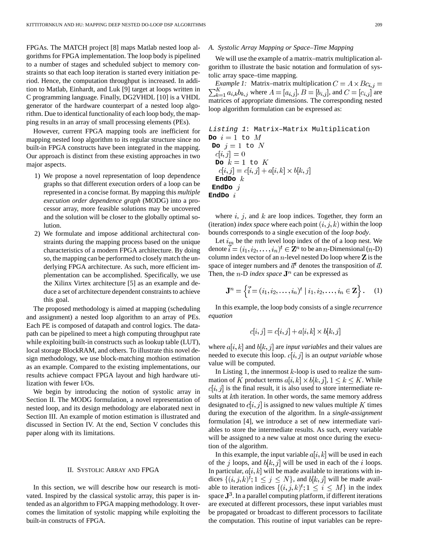FPGAs. The MATCH project [8] maps Matlab nested loop algorithms for FPGA implementation. The loop body is pipelined to a number of stages and scheduled subject to memory constraints so that each loop iteration is started every initiation period. Hence, the computation throughput is increased. In addition to Matlab, Einhardt, and Luk [9] target at loops written in C programming language. Finally, DG2VHDL [10] is a VHDL generator of the hardware counterpart of a nested loop algorithm. Due to identical functionality of each loop body, the mapping results in an array of small processing elements (PEs).

However, current FPGA mapping tools are inefficient for mapping nested loop algorithm to its regular structure since no built-in FPGA constructs have been integrated in the mapping. Our approach is distinct from these existing approaches in two major aspects.

- 1) We propose a novel representation of loop dependence graphs so that different execution orders of a loop can be represented in a concise format. By mapping this *multiple execution order dependence graph* (MODG) into a processor array, more feasible solutions may be uncovered and the solution will be closer to the globally optimal solution.
- 2) We formulate and impose additional architectural constraints during the mapping process based on the unique characteristics of a modern FPGA architecture. By doing so, the mapping can be performed to closely match the underlying FPGA architecture. As such, more efficient implementation can be accomplished. Specifically, we use the Xilinx Virtex architecture [5] as an example and deduce a set of architecture dependent constraints to achieve this goal.

The proposed methodology is aimed at mapping (scheduling and assignment) a nested loop algorithm to an array of PEs. Each PE is composed of datapath and control logics. The datapath can be pipelined to meet a high computing throughput rate while exploiting built-in constructs such as lookup table (LUT), local storage BlockRAM, and others. To illustrate this novel design methodology, we use block-matching mothion estimation as an example. Compared to the existing implementations, our results achieve compact FPGA layout and high hardware utilization with fewer I/Os.

We begin by introducing the notion of systolic array in Section II. The MODG formulation, a novel representation of nested loop, and its design methodology are elaborated next in Section III. An example of motion estimation is illustrated and discussed in Section IV. At the end, Section V concludes this paper along with its limitations.

## II. SYSTOLIC ARRAY AND FPGA

In this section, we will describe how our research is motivated. Inspired by the classical systolic array, this paper is intended as an algorithm to FPGA mapping methodology. It overcomes the limitation of systolic mapping while exploiting the built-in constructs of FPGA.

#### *A. Systolic Array Mapping or Space–Time Mapping*

We will use the example of a matrix–matrix multiplication algorithm to illustrate the basic notation and formulation of systolic array space–time mapping.

*Example 1:* Matrix–matrix multiplication  $C = A \times B$ <sub>*c<sub>i,j</sub>* =</sub>  $\sum_{k=1}^{K} a_{i,k} b_{k,j}$  where  $A = [a_{i,j}], B = [b_{i,j}]$ , and  $C = [c_{i,j}]$  are matrices of appropriate dimensions. The corresponding nested loop algorithm formulation can be expressed as:

Listing <sup>1</sup>: Matrix–Matrix Multiplication Do  $i=1$  to  $M$ **Do**  $j = 1$  to N  $c[i, j] = 0$ **Do**  $k = 1$  to  $K$ <br>  $c[i, j] = c[i, j] + a[i, k] \times b[k, j]$ **EndDo EndDo EndDo**

where  $i$ ,  $j$ , and  $k$  are loop indices. Together, they form an (iteration) *index space* where each point  $(i, j, k)$  within the loop bounds corresponds to a single execution of the *loop body*.

Let  $i_m$  be the mth level loop index of the of a loop nest. We denote  $\vec{i} = (i_1, i_2, \dots, i_n)^t \in \mathbb{Z}^n$  to be an *n*-Dimensional (*n*-D) column index vector of an  $n$ -level nested Do loop where  $\bf{Z}$  is the space of integer numbers and  $\vec{a}^t$  denotes the transposition of  $\vec{a}$ . Then, the *n*-D *index space*  $J^n$  can be expressed as

$$
\mathbf{J}^{n} = \left\{ \vec{i} = (i_1, i_2, \dots, i_n)^t \mid i_1, i_2, \dots, i_n \in \mathbf{Z} \right\}.
$$
 (1)

In this example, the loop body consists of a single *recurrence equation*

$$
c[i,j] = c[i,j] + a[i,k] \times b[k,j]
$$

where  $a[i, k]$  and  $b[k, j]$  are *input variables* and their values are needed to execute this loop.  $c[i, j]$  is an *output variable* whose value will be computed.

In Listing 1, the innermost  $k$ -loop is used to realize the summation of K product terms  $a[i, k] \times b[k, j], 1 \leq k \leq K$ . While  $c[i, j]$  is the final result, it is also used to store intermediate results at  $k$ th iteration. In other words, the same memory address designated to  $c[i, j]$  is assigned to new values multiple K times during the execution of the algorithm. In a *single-assignment* formulation [4], we introduce a set of new intermediate variables to store the intermediate results. As such, every variable will be assigned to a new value at most once during the execution of the algorithm.

In this example, the input variable  $a[i, k]$  will be used in each of the j loops, and  $b[k, j]$  will be used in each of the i loops. In particular,  $a[i, k]$  will be made available to iterations with indices  $\{(i, j, k)^t; 1 \leq j \leq N\}$ , and  $b[k, j]$  will be made available to iteration indices  $\{(i, j, k)^t; 1 \le i \le M\}$  in the index space  $\mathbf{J}^3$ . In a parallel computing platform, if different iterations are executed at different processors, these input variables must be propagated or broadcast to different processors to facilitate the computation. This routine of input variables can be repre-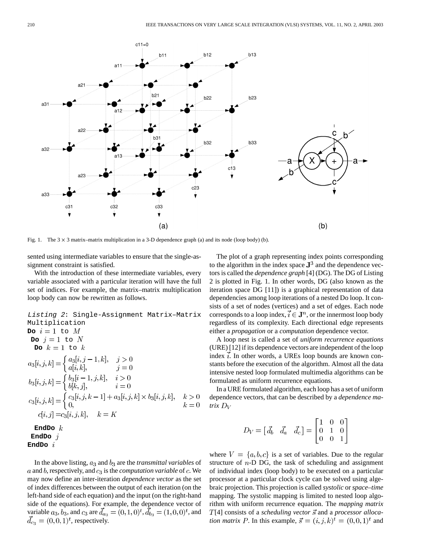

Fig. 1. The  $3 \times 3$  matrix–matrix multiplication in a 3-D dependence graph (a) and its node (loop body) (b).

sented using intermediate variables to ensure that the single-assignment constraint is satisfied.

With the introduction of these intermediate variables, every variable associated with a particular iteration will have the full set of indices. For example, the matrix–matrix multiplication loop body can now be rewritten as follows.

Listing <sup>2</sup>: Single-Assignment Matrix–Matrix Multiplication  $\mathbf{Do}$   $i=1$  to  $M$ **Do**  $i = 1$  to N **Do**  $k = 1$  to  $k$ <br>  $a_3[i, j, k] = \begin{cases} a_3[i, j - 1, k], & j > 0 \\ a[i, k], & j = 0 \end{cases}$ <br>  $b_3[i, j, k] = \begin{cases} b_3[i - 1, j, k], & i > 0 \\ b[k, j], & i = 0 \end{cases}$ <br>  $c_3[i, j, k] = \begin{cases} c_3[i, j, k - 1] + a_3[i, j, k] \times b_3[i, j, k], & k > 0 \\ 0, & k = 0 \end{cases}$  $c[i, j] = c_3[i, j, k], \quad k = K$ **EndDo EndDo EndDo**

In the above listing,  $a_3$  and  $b_3$  are the *transmittal variables* of a and b, respectively, and  $c_3$  is the *computation variable* of c. We may now define an inter-iteration *dependence vector* as the set of index differences between the output of each iteration (on the left-hand side of each equation) and the input (on the right-hand side of the equations). For example, the dependence vector of variable  $a_3, b_3$ , and  $c_3$  are  $d_{a_3} = (0, 1, 0)^t$ ,  $d_{b_3} = (1, 0, 0)^t$ , and  $\vec{d}_{c_3} = (0,0,1)^t$ , respectively.

The plot of a graph representing index points corresponding to the algorithm in the index space  $J^3$  and the dependence vectors is called the *dependence graph* [4] (DG). The DG of Listing 2 is plotted in Fig. 1. In other words, DG (also known as the iteration space DG [11]) is a graphical representation of data dependencies among loop iterations of a nested Do loop. It consists of a set of nodes (vertices) and a set of edges. Each node corresponds to a loop index,  $\vec{i} \in \mathbf{J}^n$ , or the innermost loop body regardless of its complexity. Each directional edge represents either a *propagation* or a *computation* dependence vector.

A loop nest is called a set of *uniform recurrence equations* (URE) [12] if its dependence vectors are independent of the loop index  $i$ . In other words, a UREs loop bounds are known constants before the execution of the algorithm. Almost all the data intensive nested loop formulated multimedia algorithms can be formulated as uniform recurrence equations.

In a URE formulated algorithm, each loop has a set of uniform dependence vectors, that can be described by a *dependence matrix*  $D_V$ 

$$
D_V = \begin{bmatrix} \vec{d}_b & \vec{d}_a & \vec{d}_c \end{bmatrix} = \begin{bmatrix} 1 & 0 & 0 \\ 0 & 1 & 0 \\ 0 & 0 & 1 \end{bmatrix}
$$

where  $V = \{a, b, c\}$  is a set of variables. Due to the regular structure of  $n$ -D DG, the task of scheduling and assignment of individual index (loop body) to be executed on a particular processor at a particular clock cycle can be solved using algebraic projection. This projection is called *systolic* or *space–time* mapping. The systolic mapping is limited to nested loop algorithm with uniform recurrence equation. The *mapping matrix*  $T[4]$  consists of a *scheduling vector*  $\vec{s}$  and a *processor allocation matrix* P. In this example,  $\vec{s} = (i, j, k)^t = (0, 0, 1)^t$  and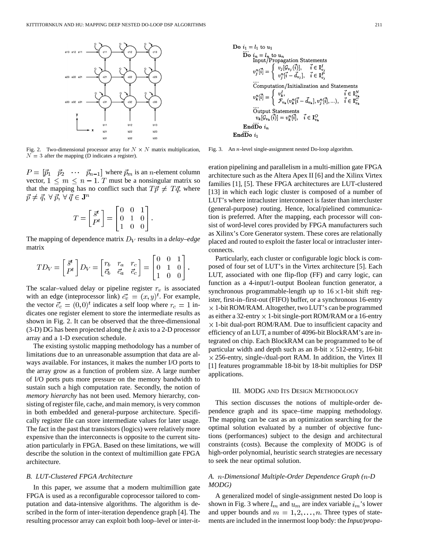

Fig. 2. Two-dimensional processor array for  $N \times N$  matrix multiplication,  $N = 3$  after the mapping (D indicates a register).

 $P = [\vec{p}_1 \quad \vec{p}_2 \quad \cdots \quad \vec{p}_{n-1}]$  where  $\vec{p}_m$  is an *n*-element column vector,  $1 \leq m \leq n - 1$ . T must be a nonsingular matrix so that the mapping has no conflict such that  $T\vec{p} \neq T\vec{q}$ , where  $\vec{p} \neq \vec{q}$ ,  $\forall \vec{p}$ ,  $\forall \vec{q} \in \mathbf{J}^n$ 

$$
T = \begin{bmatrix} \vec{s}^t \\ P^t \end{bmatrix} = \begin{bmatrix} 0 & 0 & 1 \\ 0 & 1 & 0 \\ 1 & 0 & 0 \end{bmatrix}
$$

The mapping of dependence matrix  $D_V$  results in a *delay–edge* matrix

$$
TD_V = \begin{bmatrix} \vec{s}^t \\ P^t \end{bmatrix} D_V = \begin{bmatrix} r_b & r_a & r_c \\ \vec{e}_b & \vec{e}_a & \vec{e}_c \end{bmatrix} = \begin{bmatrix} 0 & 0 & 1 \\ 0 & 1 & 0 \\ 1 & 0 & 0 \end{bmatrix}.
$$

The scalar–valued delay or pipeline register  $r_v$  is associated with an edge (inteprocessor link)  $\vec{e_v} = (x, y)^t$ . For example, the vector  $\vec{e}_c = (0,0)^t$  indicates a self loop where  $r_c = 1$  indicates one register element to store the intermediate results as shown in Fig. 2. It can be observed that the three-dimensional (3-D) DG has been projected along the  $k$  axis to a 2-D processor array and a 1-D execution schedule.

The existing systolic mapping methodology has a number of limitations due to an unreasonable assumption that data are always available. For instances, it makes the number I/O ports to the array grow as a function of problem size. A large number of I/O ports puts more pressure on the memory bandwidth to sustain such a high computation rate. Secondly, the notion of *memory hierarchy* has not been used. Memory hierarchy, consisting of register file, cache, and main memory, is very common in both embedded and general-purpose architecture. Specifically register file can store intermediate values for later usage. The fact in the past that transistors (logics) were relatively more expensive than the interconnects is opposite to the current situation particularly in FPGA. Based on these limitations, we will describe the solution in the context of multimillion gate FPGA architecture.

### *B. LUT-Clustered FPGA Architecture*

In this paper, we assume that a modern multimillion gate FPGA is used as a reconfigurable coprocessor tailored to computation and data-intensive algorithms. The algorithm is described in the form of inter-iteration dependence graph [4]. The resulting processor array can exploit both loop–level or inter-it-

Do 
$$
i_1 = l_1
$$
 to  $u_1$   
\n $\overrightarrow{D} \overrightarrow{O} i_n = l_n$  to  $u_n$   
\nInput/Propagation Statements  
\n $v_j^n[i] =\begin{cases} v_j[\mathcal{G}_{v_j}(i)], & i \in I'_{v_j} \\ v_j^n[i - d_{v_j}], & i \in I'_{v_j} \end{cases}$   
\nComputation/Initialization and Statements  
\n $v_k^n[i] =\begin{cases} v_k^f, & i \in I''_{v_k} \\ \mathcal{F}_{v_k}(v_k^n[i - d_{v_k}], v_j^n[i], \dots), & i \in I''_{v_k} \\ \text{Output Statements} \\ v_k[\mathcal{G}_{v_k}(i)] = v_k^n[i], & i \in I'_{v_k} \end{cases}$   
\nEndIDo  $i_n$   
\nEndIDo  $i_1$ 

Fig. 3. An n-level single-assignment nested Do-loop algorithm.

eration pipelining and parallelism in a multi-million gate FPGA architecture such as the Altera Apex II [6] and the Xilinx Virtex families [1], [5]. These FPGA architectures are LUT-clustered [13] in which each logic cluster is composed of a number of LUT's where intracluster interconnect is faster than intercluster (general-purpose) routing. Hence, local/pielined communication is preferred. After the mapping, each processor will consist of word-level cores provided by FPGA manufacturers such as Xilinx's Core Generator system. These cores are relationally placed and routed to exploit the faster local or intracluster interconnects.

Particularly, each cluster or configurable logic block is composed of four set of LUT's in the Virtex architecture [5]. Each LUT, associated with one flip-flop (FF) and carry logic, can function as a 4-input/1-output Boolean function generator, a synchronous programmable-length up to  $16 \times 1$ -bit shift register, first-in–first-out (FIFO) buffer, or a synchronous 16-entry  $\times$  1-bit ROM/RAM. Altogether, two LUT's can be programmed as either a 32-entry  $\times$  1-bit single-port ROM/RAM or a 16-entry  $\times$  1-bit dual-port ROM/RAM. Due to insufficient capacity and efficiency of an LUT, a number of 4096-bit BlockRAM's are integrated on chip. Each BlockRAM can be programmed to be of particular width and depth such as an 8-bit  $\times$  512-entry, 16-bit  $\times$  256-entry, single-/dual-port RAM. In addition, the Virtex II [1] features programmable 18-bit by 18-bit multiplies for DSP applications.

## III. MODG AND ITS DESIGN METHODOLOGY

This section discusses the notions of multiple-order dependence graph and its space–time mapping methodology. The mapping can be cast as an optimization searching for the optimal solution evaluated by a number of objective functions (performances) subject to the design and architectural constraints (costs). Because the complexity of MODG is of high-order polynomial, heuristic search strategies are necessary to seek the near optimal solution.

## *A. -Dimensional Multiple-Order Dependence Graph ( -D MODG)*

A generalized model of single-assignment nested Do loop is shown in Fig. 3 where  $l_m$  and  $u_m$  are index variable  $i_m$ 's lower and upper bounds and  $m = 1, 2, ..., n$ . Three types of statements are included in the innermost loop body: the *Input/propa-*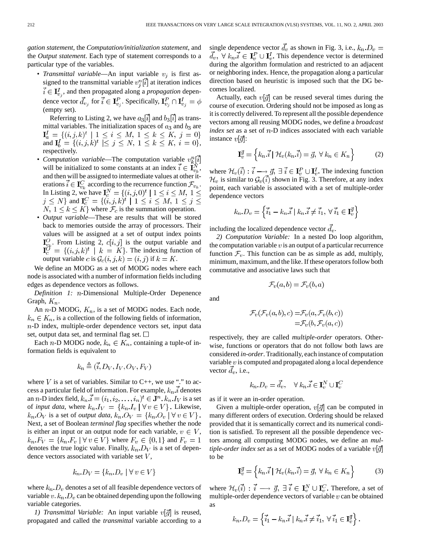*gation statement*, the *Computation/initialization statement*, and the *Output statement*. Each type of statement corresponds to a particular type of the variables.

• *Transmittal variable*—An input variable  $v_j$  is first assigned to the transmittal variable  $v_i^n[\vec{i}]$  at iteration indices , and then propagated along a *propagation* dependence vector  $d_{v_i}$  for  $i \in \mathbf{I}_{n_i}^P$ . Specifically, (empty set).

Referring to Listing 2, we have  $a_3[\vec{i}]$  and  $b_3[\vec{i}]$  as transmittal variables. The initialization spaces of  $a_3$  and  $b_3$  are <br>  $\mathbf{I}_a^I = \{(i, j, k)^t \mid 1 \le i \le M, 1 \le k \le K, j = 0\}$ and  $\mathbf{I}_{b}^{T} = \{(i, j, k)^{t} | \leq j \leq N, 1 \leq k \leq K, i = 0\},\$ respectively.

- *Computation variable*—The computation variable  $v_k^n[\vec{i}]$ will be initialized to some constants at an index  $\vec{i} \in \mathbf{I}_{v_k}^N$ , and then will be assigned to intermediate values at other iterations  $\vec{i} \in \mathbf{I}_{v_k}^C$  according to the recurrence function  $\mathcal{F}_{v_k}$ . In Listing 2, we have and  $N, 1 \leq k \leq K$  where  $\mathcal{F}_c$  is the summation operation.
- *Output variable*—These are results that will be stored back to memories outside the array of processors. Their values will be assigned at a set of output index points  $\mathbf{I}_{v_k}^O$ . From Listing 2,  $c[i, j]$  is the output variable and  $I_c^{\mathcal{O}} = \{(i, j, k)^t \mid k = K\}$ . The indexing function of output variable c is  $\mathcal{G}_c(i, j, k) = (i, j)$  if  $k = K$ .

We define an MODG as a set of MODG nodes where each node is associated with a number of information fields including edges as dependence vectors as follows.

*Definition 1: n*-Dimensional Multiple-Order Depenence Graph,  $K_n$ .

An  $n$ -D MODG,  $K_n$ , is a set of MODG nodes. Each node,  $k_n \in K_n$ , is a collection of the following fields of information,  $n-D$  index, multiple-order dependence vectors set, input data set, output data set, and terminal flag set.  $\square$ 

Each *n*-D MODG node,  $k_n \in K_n$ , containing a tuple-of information fields is equivalent to

$$
k_n \triangleq (\vec{i}, D_V, I_V, O_V, F_V)
$$

where  $V$  is a set of variables. Similar to C++, we use "." to access a particular field of information. For example,  $k_n$ ,  $\vec{i}$  denotes an *n*-D index field,  $k_n \cdot \vec{i} = (i_1, i_2, \dots, i_n)^t \in \mathbf{J}^n$ .  $k_n \cdot I_V$  is a set of *input data*, where  $k_n.I_V = \{k_n.I_v \mid \forall v \in V\}$ . Likewise,  $k_n.O_V$  is a set of *output data*,  $k_n.O_V = \{k_n.O_v \mid \forall v \in V\}$ . Next, a set of Boolean *terminal flag* specifies whether the node is either an input or an output node for each variable,  $v \in V$ ,  $k_n.F_V = \{k_n.F_v \mid \forall v \in V\}$  where  $F_v \in \{0,1\}$  and  $F_v = 1$ denotes the true logic value. Finally,  $k_n.D_V$  is a set of dependence vectors associated with variable set  $V$ ,

$$
k_n.D_V = \{k_n.D_v \mid \forall v \in V\}
$$

where  $k_n.D_v$  denotes a set of all feasible dependence vectors of variable  $v. k_n. D_v$  can be obtained depending upon the following variable categories.

*1) Transmittal Variable:* An input variable  $v[\vec{g}]$  is reused, propagated and called the *transmittal* variable according to a single dependence vector  $\vec{d}_v$  as shown in Fig. 3, i.e.,  $k_n.D_v =$  $\vec{d}_v, \forall k_n \vec{i} \in \mathbf{I}_v^P \cup \mathbf{I}_v^I$ . This dependence vector is determined during the algorithm formulation and restricted to an adjacent or neighboring index. Hence, the propagation along a particular direction based on heuristic is imposed such that the DG becomes localized.

Actually, each  $v[\vec{q}]$  can be reused several times during the course of execution. Ordering should not be imposed as long as it is correctly delivered. To represent all the possible dependence vectors among all reusing MODG nodes, we define a *broadcast*  $index set$  as a set of  $n$ -D indices associated with each variable instance  $v[\vec{q}]$ :

$$
\mathbf{I}_v^{\vec{g}} = \left\{ k_n \vec{i} \mid \mathcal{H}_v(k_n \vec{i}) = \vec{g}, \forall k_n \in K_n \right\}
$$
 (2)

where  $\mathcal{H}_v(\vec{i}): \vec{i} \longrightarrow \vec{g}, \ \exists \ \vec{i} \in \mathbf{I}_v^P \cup \mathbf{I}_v^I$ . The indexing function  $\mathcal{H}_v$  is similar to  $\mathcal{G}_v(\vec{i})$  shown in Fig. 3. Therefore, at any index point, each variable is associated with a set of multiple-order dependence vectors

$$
k_n.D_v = \left\{ \vec{i}_1 - k_n . \vec{i} \mid k_n . \vec{i} \neq \vec{i}_1, \ \forall \vec{i}_1 \in \mathbf{I}_v^{\vec{g}} \right\}
$$

including the localized dependence vector  $\vec{d}_v$ .

*2) Computation Variable:* In a nested Do loop algorithm, the computation variable  $v$  is an output of a particular recurrence function  $\mathcal{F}_v$ . This function can be as simple as add, multiply, minimum, maximum, and the like. If these operators follow both commutative and associative laws such that

$$
\mathcal{F}_v(a,b) = \mathcal{F}_v(b,a)
$$

and

$$
\mathcal{F}_v(\mathcal{F}_v(a,b),c) = \mathcal{F}_v(a,\mathcal{F}_v(b,c)) \n= \mathcal{F}_v(b,\mathcal{F}_v(a,c))
$$

respectively, they are called *multiple-order* operators. Otherwise, functions or operators that do not follow both laws are considered *in-order*. Traditionally, each instance of computation variable  $v$  is computed and propagated along a local dependence vector  $d<sub>v</sub>$ , i.e.,

$$
k_n.D_v = \vec{d_v}, \quad \forall \ k_n.\vec{i} \in \mathbf{I}_v^N \cup \mathbf{I}_v^C
$$

as if it were an in-order operation.

Given a multiple-order operation,  $v[\vec{g}]$  can be computed in many different orders of execution. Ordering should be relaxed provided that it is semantically correct and its numerical condition is satisfied. To represent all the possible dependence vectors among all computing MODG nodes, we define an *multiple-order index set* as a set of MODG nodes of a variable  $v[\vec{g}]$ to be

$$
\mathbf{I}_v^{\vec{g}} = \left\{ k_n, \vec{i} \mid \mathcal{H}_v(k_n, \vec{i}) = \vec{g}, \forall k_n \in K_n \right\}
$$
 (3)

where  $\mathcal{H}_v(\vec{i}) : \vec{i} \longrightarrow \vec{g}, \exists \vec{i} \in \mathbf{I}_v^N \cup \mathbf{I}_v^C$ . Therefore, a set of multiple-order dependence vectors of variable  $v$  can be obtained as

$$
k_n.D_v = \left\{ \vec{i}_1 - k_n.\vec{i} \mid k_n.\vec{i} \neq \vec{i}_1, \ \forall \vec{i}_1 \in \mathbf{I}_v^{\vec{q}} \right\}.
$$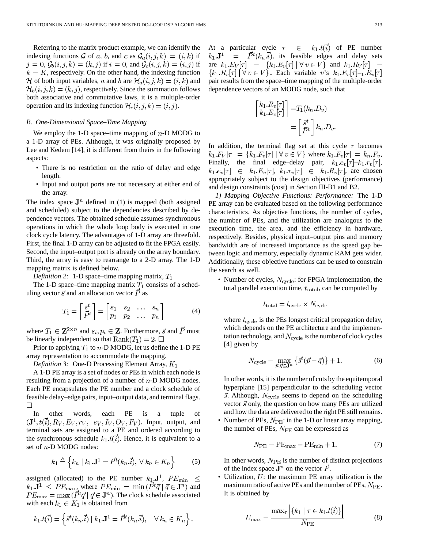Referring to the matrix product example, we can identify the indexing functions G of a, b, and c as  $\mathcal{G}_a(i, j, k) = (i, k)$  if  $j = 0$ ,  $\mathcal{G}_b(i, j, k) = (k, j)$  if  $i = 0$ , and  $\mathcal{G}_c(i, j, k) = (i, j)$  if  $k = K$ , respectively. On the other hand, the indexing function H of both input variables, a and b are  $\mathcal{H}_a(i,j,k) = (i,k)$  and  $\mathcal{H}_b(i, j, k) = (k, j)$ , respectively. Since the summation follows both associative and commutative laws, it is a multiple-order operation and its indexing function  $\mathcal{H}_c(i, j, k) = (i, j)$ .

## *B. One-Dimensional Space–Time Mapping*

We employ the 1-D space–time mapping of  $n$ -D MODG to a 1-D array of PEs. Although, it was originally proposed by Lee and Kedem [14], it is different from theirs in the following aspects:

- There is no restriction on the ratio of delay and edge length.
- Input and output ports are not necessary at either end of the array.

The index space  $J<sup>n</sup>$  defined in (1) is mapped (both assigned and scheduled) subject to the dependencies described by dependence vectors. The obtained schedule assumes synchronous operations in which the whole loop body is executed in one clock cycle latency. The advantages of 1-D array are threefold. First, the final 1-D array can be adjusted to fit the FPGA easily. Second, the input–output port is already on the array boundary. Third, the array is easy to rearrange to a 2-D array. The 1-D mapping matrix is defined below.

*Definition 2:* 1-D space–time mapping matrix,  $T_1$ 

The 1-D space–time mapping matrix  $T_1$  consists of a scheduling vector  $\vec{s}$  and an allocation vector  $\vec{P}$  as

$$
T_1 = \begin{bmatrix} \vec{s}^t \\ \vec{P}^t \end{bmatrix} = \begin{bmatrix} s_1 & s_2 & \dots & s_n \\ p_1 & p_2 & \dots & p_n \end{bmatrix}
$$
 (4)

where  $T_1 \in \mathbf{Z}^{2 \times n}$  and  $s_i, p_i \in \mathbf{Z}$ . Furthermore,  $\vec{s}$  and  $\vec{P}$  must be linearly independent so that  $\text{Rank}(T_1) = 2$ .  $\Box$ 

Prior to applying  $T_1$  to *n*-D MODG, let us define the 1-D PE array representation to accommodate the mapping.

*Definition 3:* One-D Processing Element Array,  $K_1$ 

A 1-D PE array is a set of nodes or PEs in which each node is resulting from a projection of a number of  $n$ -D MODG nodes. Each PE encapsulates the PE number and a clock schedule of feasible delay–edge pairs, input–output data, and terminal flags.  $\Box$ 

In other words, each PE is a tuple of  $(\mathbf{J}^1, t(\vec{i}), R_V, E_V, r_V, e_V, I_V, O_V, F_V)$ . Input, output, and terminal sets are assigned to a PE and ordered according to the synchronous schedule  $k_1 \cdot t(\vec{i})$ . Hence, it is equivalent to a set of  $n$ -D MODG nodes:

$$
k_1 \triangleq \left\{ k_n \mid k_1 \mathbf{J}^1 = \vec{P}^t(k_n, \vec{i}), \forall k_n \in K_n \right\}
$$
 (5)

assigned (allocated) to the PE number  $k_1 \textbf{J}^1$ ,  $PE_{\text{min}} \leq$  $k_1 \mathbf{J}^1 \leq PE_{\text{max}}$ , where  $PE_{\text{min}} = \min(\vec{P}^t \vec{q} | \vec{q} \in \mathbf{J}^n)$  and  $PE_{\text{max}} = \max (\vec{P}^t \vec{q} | \vec{q} \in \mathbf{J}^n)$ . The clock schedule associated with each  $k_1 \in K_1$  is obtained from

$$
k_1.t(\vec{i}) = \left\{ \vec{s}^t(k_n.\vec{i}) \mid k_1.\mathbf{J}^1 = \vec{P}^t(k_n.\vec{i}), \quad \forall \ k_n \in K_n \right\}.
$$

At a particular cycle  $\tau \in k_1.t(\vec{i})$  of PE number  $k_1 \mathbf{J}^1 = \vec{P}^t(k_n \cdot \vec{i}),$  its feasible edges and delay sets are  $k_1.E_V[\tau] = \{k_1.E_v[\tau] | \forall v \in V\}$  and  $k_1.R_V[\tau] =$  ${k_1.R_v[\tau] \mid \forall v \in V}$ . Each variable v's  $k_1.E_v[\tau]_{-1}.R_v[\tau]$ pair results from the space–time mapping of the multiple-order dependence vectors of an MODG node, such that

$$
\begin{aligned} \begin{bmatrix} k_1.R_v[\tau] \\ k_1.E_v[\tau] \end{bmatrix} &= T_1(k_n.D_v) \\ &= \begin{bmatrix} \frac{\vec{s}^t}{\vec{P}^t} \end{bmatrix} k_n.D_v \end{aligned}
$$

In addition, the terminal flag set at this cycle  $\tau$  becomes  $k_1.F_V[\tau] = \{k_1.F_v[\tau] | \forall v \in V\}$  where  $k_1.F_v[\tau] = k_n.F_v$ . Finally, the final edge–delay pair,  $k_1 \cdot e_v[\tau] - k_1 \cdot r_v[\tau]$ ,  $k_1 \cdot e_v[\tau] \in k_1 \cdot E_v[\tau], k_1 \cdot r_v[\tau] \in k_1 \cdot R_v[\tau],$  are chosen appropriately subject to the design objectives (performance) and design constraints (cost) in Section III-B1 and B2.

*1) Mapping Objective Functions: Performance:* The 1-D PE array can be evaluated based on the following performance characteristics. As objective functions, the number of cycles, the number of PEs, and the utilization are analogous to the execution time, the area, and the efficiency in hardware, respectively. Besides, physical input–output pins and memory bandwidth are of increased importance as the speed gap between logic and memory, especially dynamic RAM gets wider. Additionally, these objective functions can be used to constrain the search as well.

• Number of cycles,  $N_{\text{cycle}}$ : for FPGA implementation, the total parallel execution time,  $t_{\text{total}}$ , can be computed by

$$
t_{\text{total}} = t_{\text{cycle}} \times N_{\text{cycle}}
$$

where  $t_{\text{cycle}}$  is the PEs longest critical propagation delay, which depends on the PE architecture and the implementation technology, and  $N_{\text{cycle}}$  is the number of clock cycles [4] given by

$$
N_{\text{cycle}} = \max_{\vec{p}, \vec{q} \in \mathbf{J}^n} \left\{ \vec{s}^t(\vec{p} - \vec{q}) \right\} + 1. \tag{6}
$$

In other words, it is the number of cuts by the equitemporal hyperplane [15] perpendicular to the scheduling vector  $\vec{s}$ . Although,  $N_{\text{cycle}}$  seems to depend on the scheduling vector  $\vec{s}$  only, the question on how many PEs are utilized and how the data are delivered to the right PE still remains.

• Number of PEs,  $N_{\text{PE}}$ : in the 1-D or linear array mapping, the number of PEs,  $N_{\text{PE}}$  can be expressed as

$$
N_{\rm PE} = \rm PE_{\rm max} - \rm PE_{\rm min} + 1. \tag{7}
$$

In other words,  $N_{\text{PE}}$  is the number of distinct projections of the index space  $J^n$  on the vector  $\vec{P}$ .

• Utilization,  $U$ : the maximum PE array utilization is the maximum ratio of active PEs and the number of PEs,  $N_{\text{PE}}$ . It is obtained by

$$
U_{\text{max}} = \frac{\max_{\tau} \left| \{ k_1 \mid \tau \in k_1.t(\vec{i}) \} \right|}{N_{\text{PE}}} \tag{8}
$$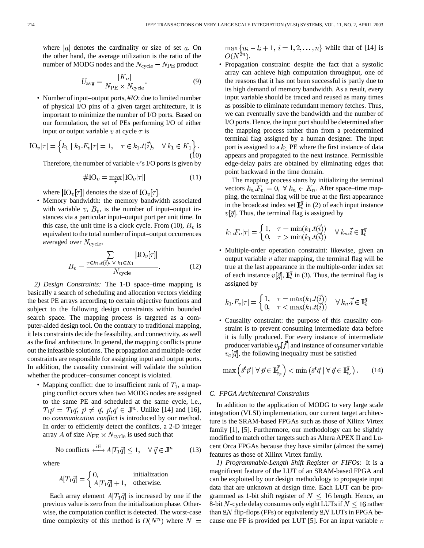where  $|a|$  denotes the cardinality or size of set a. On the other hand, the average utilization is the ratio of the number of MODG nodes and the  $N_{\text{cycle}} - N_{\text{PE}}$  product

$$
U_{\text{avg}} = \frac{|K_n|}{N_{\text{PE}} \times N_{\text{cycle}}}. \tag{9}
$$

• Number of input–output ports, #*IO*: due to limited number of physical I/O pins of a given target architecture, it is important to minimize the number of I/O ports. Based on our formulation, the set of PEs performing I/O of either input or output variable v at cycle  $\tau$  is

$$
IO_{v}[\tau] = \left\{ k_{1} \mid k_{1}.F_{v}[\tau] = 1, \quad \tau \in k_{1}.t(\vec{i}), \quad \forall k_{1} \in K_{1} \right\}.
$$
\n(10)

Therefore, the number of variable  $v$ 's I/O ports is given by

$$
\#IO_v = \max |IO_v[\tau]| \tag{11}
$$

where  $|IO_v[\tau]|$  denotes the size of  $IO_v[\tau].$ 

• Memory bandwidth: the memory bandwidth associated with variable  $v$ ,  $B_v$ , is the number of input–output instances via a particular input–output port per unit time. In this case, the unit time is a clock cycle. From (10),  $B_v$  is equivalent to the total number of input–output occurrences averaged over  $N_{\text{cycle}}$ ,

$$
B_v = \frac{\sum\limits_{\tau \in k_1, t(\vec{i}), \forall k_1 \in K_1} |\text{IO}_v[\tau]|}{N_{\text{cycle}}}.
$$
 (12)

*2) Design Constraints:* The 1-D space–time mapping is basically a search of scheduling and allocation vectors yielding the best PE arrays according to certain objective functions and subject to the following design constraints within bounded search space. The mapping process is targeted as a computer-aided design tool. On the contrary to traditional mapping, it lets constraints decide the feasibility, and connectivity, as well as the final architecture. In general, the mapping conflicts prune out the infeasible solutions. The propagation and multiple-order constraints are responsible for assigning input and output ports. In addition, the causality constraint will validate the solution whether the producer–consumer concept is violated.

• Mapping conflict: due to insufficient rank of  $T_1$ , a mapping conflict occurs when two MODG nodes are assigned to the same PE and scheduled at the same cycle, i.e.,  $T_1 \vec{p} = T_1 \vec{q}, \ \vec{p} \neq \vec{q}, \ \vec{p}, \vec{q} \in \mathbf{J}^n$ . Unlike [14] and [16], no *communication conflict* is introduced by our method. In order to efficiently detect the conflicts, a 2-D integer array A of size  $N_{\text{PE}} \times N_{\text{cycle}}$  is used such that

No conflicts 
$$
\xleftarrow{\text{III}} A[T_1\vec{q}] \leq 1, \quad \forall \vec{q} \in \mathbf{J}^n
$$
 (13)

where

$$
A[T_1\vec{q}] = \begin{cases} 0, & \text{initialization} \\ A[T_1\vec{q}] + 1, & \text{otherwise.} \end{cases}
$$

Each array element  $A[T_1 \vec{q}]$  is increased by one if the previous value is zero from the initialization phase. Otherwise, the computation conflict is detected. The worst-case time complexity of this method is  $O(N^n)$  where  $N =$ 

 $\max \{u_i - l_i + 1, i = 1, 2, ..., n\}$  while that of [14] is  $O(N^{2n})$ .

• Propagation constraint: despite the fact that a systolic array can achieve high computation throughput, one of the reasons that it has not been successful is partly due to its high demand of memory bandwidth. As a result, every input variable should be traced and reused as many times as possible to eliminate redundant memory fetches. Thus, we can eventually save the bandwidth and the number of I/O ports. Hence, the input port should be determined after the mapping process rather than from a predetermined terminal flag assigned by a human designer. The input port is assigned to a  $k_1$  PE where the first instance of data appears and propagated to the next instance. Permissible edge-delay pairs are obtained by eliminating edges that point backward in the time domain.

The mapping process starts by initializing the terminal vectors  $k_n.F_v = 0$ ,  $\forall k_n \in K_n$ . After space–time mapping, the terminal flag will be true at the first appearance in the broadcast index set  $I_v^{\vec{g}}$  in (2) of each input instance  $v[\vec{g}]$ . Thus, the terminal flag is assigned by

$$
k_1.F_v[\tau] = \begin{cases} 1, & \tau = \min(k_1.t(\vec{i})) \\ 0, & \tau > \min(k_1.t(\vec{i})) \end{cases} \quad \forall \, k_n.\vec{i} \in \mathbf{I}_v^{\bar{g}}
$$

• Multiple-order operation constraint: likewise, given an output variable  $v$  after mapping, the terminal flag will be true at the last appearance in the multiple-order index set of each instance  $v[\vec{g}]$ ,  $\mathbf{I}_{v}^{\vec{g}}$  in (3). Thus, the terminal flag is assigned by

$$
k_1.F_v[\tau] = \begin{cases} 1, & \tau = \max(k_1.t(\vec{i})) \\ 0, & \tau < \max(k_1.t(\vec{i})) \end{cases} \quad \forall \ k_n.\vec{i} \in \mathbf{I}_v^{\vec{y}}
$$

• Causality constraint: the purpose of this causality constraint is to prevent consuming intermediate data before it is fully produced. For every instance of intermediate producer variable  $v_p[f]$  and instance of consumer variable  $v_c[\vec{g}]$ , the following inequality must be satisfied

$$
\max\left(\vec{s}^t\vec{p}\mid \forall\,\vec{p}\in\mathbf{I}_{v_p}^{\vec{f}}\right)<\min\left(\vec{s}^t\vec{q}\mid \forall\,\vec{q}\in\mathbf{I}_{v_c}^{\vec{g}}\right).
$$
 (14)

## *C. FPGA Architectural Constraints*

In addition to the application of MODG to very large scale integration (VLSI) implementation, our current target architecture is the SRAM-based FPGAs such as those of Xilinx Virtex family [1], [5]. Furthermore, our methodology can be slightly modified to match other targets such as Altera APEX II and Lucent Orca FPGAs because they have similar (almost the same) features as those of Xilinx Virtex family.

*1) Programmable-Length Shift Register or FIFOs:* It is a magnificent feature of the LUT of an SRAM-based FPGA and can be exploited by our design methodology to propagate input data that are unknown at design time. Each LUT can be programmed as 1-bit shift register of  $N \leq 16$  length. Hence, an 8-bit N-cycle delay consumes only eight LUTs if  $N \leq 16$  rather than  $8N$  flip-flops (FFs) or equivalently  $8N$  LUTs in FPGA because one FF is provided per LUT [5]. For an input variable  $v$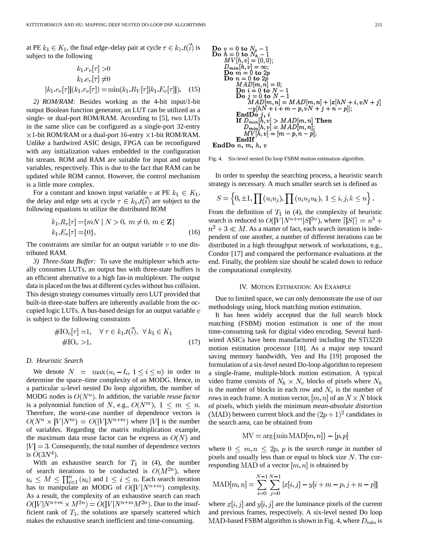at PE  $k_1 \in K_1$ , the final edge–delay pair at cycle  $\tau \in k_1.t(\vec{i})$  is subject to the following

$$
k_1.r_v[\tau] > 0
$$
  
\n
$$
k_1.e_v[\tau] \neq 0
$$
  
\n
$$
|k_1.e_v[\tau]|(k_1.r_v[\tau]) = \min(k_1.R_V[\tau]|k_1.E_v[\tau]|). \quad (15)
$$

*2) ROM/RAM:* Besides working as the 4-bit input/1-bit output Boolean function generator, an LUT can be utilized as a single- or dual-port ROM/RAM. According to [5], two LUTs in the same slice can be configured as a single-port 32-entry  $\times$ 1-bit ROM/RAM or a dual-port 16-entry  $\times$ 1-bit ROM/RAM. Unlike a hardwired ASIC design, FPGA can be reconfigured with any initialization values embedded in the configuration bit stream. ROM and RAM are suitable for input and output variables, respectively. This is due to the fact that RAM can be updated while ROM cannot. However, the control mechanism is a little more complex.

For a constant and known input variable v at PE  $k_1 \in K_1$ , the delay and edge sets at cycle  $\tau \in k_1.t(\overrightarrow{i})$  are subject to the following equations to utilize the distributed ROM

$$
k_1.R_v[\tau] = \{mN \mid N > 0, m \neq 0, m \in \mathbf{Z}\}
$$
  

$$
k_1.E_v[\tau] = \{0\}.
$$
 (16)

The constraints are similar for an output variable  $v$  to use distributed RAM.

*3) Three-State Buffer:* To save the multiplexer which actually consumes LUTs, an output bus with three-state buffers is an efficient alternative to a high fan-in multiplexer. The output data is placed on the bus at different cycles without bus collision. This design strategy consumes virtually zero LUT provided that built-in three-state buffers are inherently available from the occupied logic LUTs. A bus-based design for an output variable  $v$ is subject to the following constraints

$$
#IO_{v}[\tau] = 1, \quad \forall \tau \in k_1.t(i), \ \forall k_1 \in K_1
$$
  

$$
\#IO_{v} > 1.
$$
 (17)

## *D. Heuristic Search*

We denote  $N = \max(u_i - l_i, 1 \le i \le n)$  in order to determine the space–time complexity of an MODG. Hence, in a particular  $n$ -level nested Do loop algorithm, the number of MODG nodes is  $O(N^n)$ . In addition, the variable *reuse factor* is a polynomial function of N, e.g.,  $O(N^m)$ ,  $1 \le m \le n$ . Therefore, the worst-case number of dependence vectors is  $O(N^n \times |V|N^m) = O(|V|N^{n+m})$  where |V| is the number of variables. Regarding the matrix multiplication example, the maximum data reuse factor can be express as  $O(N)$  and  $|V| = 3$ . Consequently, the total number of dependence vectors is  $O(3N^4)$ .

With an exhaustive search for  $T_1$  in (4), the number of search iterations to be conducted is  $O(M^{2n})$ , where  $u_i \leq M \leq \prod_{i=1}^n (u_i)$  and  $1 \leq i \leq n$ . Each search iteration has to manipulate an MODG of  $O(|V|N^{n+m})$  complexity. As a result, the complexity of an exhaustive search can reach  $O(|V|N^{n+m} \times M^{2n}) = O(|V|N^{n+m}M^{2n})$ . Due to the insufficient rank of  $T_1$ , the solutions are sparsely scattered which makes the exhaustive search inefficient and time-consuming.

Do 
$$
v = 0
$$
 to  $N_v - 1$   
\n
$$
MV[h, v] = (0, 0);
$$
\n
$$
D_{min}[h, v] = \infty;
$$
\nDo  $m = 0$  to  $2p$   
\nDo  $n = 0$  to  $2p$   
\nDo  $n = 0$  to  $2p$   
\n
$$
MAP[m, n] = 0;
$$
\nDo  $i = 0$  to  $N - 1$   
\nDo  $j = 0$  to  $N - 1$   
\n
$$
MAD[m, n] = MAD[m, n] + |x[hN + i, vN + j|]
$$
\n
$$
-y[hN + i + m - p, vN + j + n - p];
$$
\nEndDo  $j, i$   
\nIf  $D_{min}[h, v] > MAD[m, n]$   
\n
$$
D_{min}[h, v] = MAD[m, n];
$$
\n
$$
MV[h, v] = [m - p, n - p];
$$
\nEndIf

```
EndDo n, m, h, v
```
Fig. 4. Six-level nested Do loop FSBM motion estimation algorithm.

In order to speedup the searching process, a heuristic search strategy is necessary. A much smaller search set is defined as

$$
S = \left\{0, \pm 1, \prod(u_iu_j), \prod(u_iu_ju_k), \ 1 \leq i,j,k \leq n\right\}.
$$

From the definition of  $T_1$  in (4), the complexity of heuristic search is reduced to  $O(|V|N^{n+m}|S|^{2n})$ , where  $[|S|] = n^3 +$  $n^2 + 3 \ll M$ . As a matter of fact, each search iteration is independent of one another, a number of different iterations can be distributed in a high throughput network of workstations, e.g., Condor [17] and compared the performance evaluations at the end. Finally, the problem size should be scaled down to reduce the computational complexity.

## IV. MOTION ESTIMATION: AN EXAMPLE

Due to limited space, we can only demonstrate the use of our methodology using, block matching motion estimation.

It has been widely accepted that the full search block matching (FSBM) motion estimation is one of the most time-consuming task for digital video encoding. Several hardwired ASICs have been manufactured including the STi3220 motion estimation processor [18]. As a major step toward saving memory bandwidth, Yeo and Hu [19] proposed the formulation of a six-level nested Do-loop algorithm to represent a single-frame, multiple-block motion estimation. A typical video frame consists of  $N_h \times N_v$  blocks of pixels where  $N_h$ is the number of blocks in each row and  $N_v$  is the number of rows in each frame. A motion vector,  $[m, n]$  of an  $N \times N$  block of pixels, which yields the minimum *mean-absolute distortion* (MAD) between current block and the  $(2p + 1)^2$  candidates in the search area, can be obtained from

$$
MV = arg\{\min MAD[m, n]\} - [p, p]
$$

where  $0 \leq m, n \leq 2p$ , p is the *search range* in number of pixels and usually less than or equal to block size  $N$ . The corresponding MAD of a vector  $[m, n]$  is obtained by

$$
MAD[m, n] = \sum_{i=0}^{N-1} \sum_{j=0}^{N-1} |x[i, j] - y[i + m - p, j + n - p]|
$$

where  $x[i, j]$  and  $y[i, j]$  are the luminance pixels of the current and previous frames, respectively. A six-level nested Do loop MAD-based FSBM algorithm is shown in Fig. 4, where  $D_{\min}$  is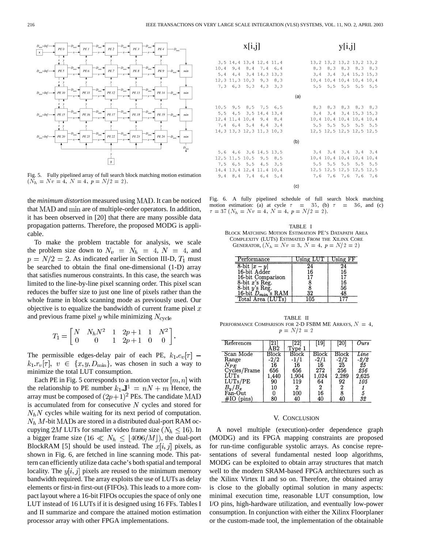

Fig. 5. Fully pipelined array of full search block matching motion estimation  $(N_h = Nv = 4, N = 4, p = N/2 = 2).$ 

the *minimum distortion* measured using MAD. It can be noticed that MAD and min are of multiple-order operators. In addition, it has been observed in [20] that there are many possible data propagation patterns. Therefore, the proposed MODG is applicable.

To make the problem tractable for analysis, we scale the problem size down to  $N_v = N_h = 4$ ,  $N = 4$ , and  $p = N/2 = 2$ . As indicated earlier in Section III-D,  $T_1$  must be searched to obtain the final one-dimensional (1-D) array that satisfies numerous constraints. In this case, the search was limited to the line-by-line pixel scanning order. This pixel scan reduces the buffer size to just one line of pixels rather than the whole frame in block scanning mode as previously used. Our objective is to equalize the bandwidth of current frame pixel  $x$ and previous frame pixel  $y$  while minimizing  $N_{\text{cycle}}$ 

$$
T_1 = \begin{bmatrix} N & N_h N^2 & 1 & 2p+1 & 1 & N^2 \\ 0 & 0 & 1 & 2p+1 & 0 & 0 \end{bmatrix}.
$$

The permissible edges-delay pair of each PE,  $k_1 \cdot e_v[\tau]$  –  $k_1.r_v[\tau]$ ,  $v \in \{x, y, D_{\min}\}$ , was chosen in such a way to minimize the total LUT consumption.

Each PE in Fig. 5 corresponds to a motion vector  $[m, n]$  with the relationship to PE number  $k_1 \mathbf{J}^1 = nN + m$  Hence, the array must be composed of  $(2p+1)^2$  PEs. The candidate MAD is accumulated from for consecutive  $N$  cycles and stored for  $N_hN$  cycles while waiting for its next period of computation.  $N_h$  M-bit MADs are stored in a distributed dual-port RAM occupying 2M LUTs for smaller video frame size ( $N_h \le 16$ ). In a bigger frame size  $(16 \ll N_h \leq \lfloor 4096/M \rfloor)$ , the dual-port BlockRAM [5] should be used instead. The  $x[i, j]$  pixels, as shown in Fig. 6, are fetched in line scanning mode. This pattern can efficiently utilize data cache's both spatial and temporal locality. The  $y[i, j]$  pixels are reused to the minimum memory bandwidth required. The array exploits the use of LUTs as delay elements or first-in first-out (FIFOs). This leads to a more compact layout where a 16-bit FIFOs occupies the space of only one LUT instead of 16 LUTs if it is designed using 16 FFs. Tables I and II summarize and compare the attained motion estimation processor array with other FPGA implementations.

| x[i,j] |  |                                                                                                                                                    |  |  |     | y[i,j]                                                        |  |  |                                                                                                                                                                     |  |
|--------|--|----------------------------------------------------------------------------------------------------------------------------------------------------|--|--|-----|---------------------------------------------------------------|--|--|---------------------------------------------------------------------------------------------------------------------------------------------------------------------|--|
|        |  | 3, 5 14, 4 13, 4 12, 4 11, 4<br>$10, 4$ 9, 4 8, 4 7, 4 6, 4<br>$5, 4$ 4, 4 3, 4 14, 3 13, 3<br>12,3 11,3 10,3 9,3 8,3<br>$7,3$ 6, 3 5, 3 4, 3 3, 3 |  |  |     |                                                               |  |  | 13, 2 13, 2 13, 2 13, 2 13, 2<br>8, 3 8, 3 8, 3 8, 3 8, 3<br>$3, 4$ $3, 4$ $3, 4$ $15, 3$ $15, 3$<br>$10, 4$ 10, 4 10, 4 10, 4 10, 4<br>$5,5$ 5,5 5,5 5,5 5,5       |  |
|        |  |                                                                                                                                                    |  |  | (a) |                                                               |  |  |                                                                                                                                                                     |  |
|        |  | 10,5 9,5 8,5 7,5 6,5<br>$5, 5$ 4, 5 3, 5 14, 4 13, 4<br>12,4 11,4 10,4 9,4 8,4<br>$7, 4$ 6, 4 5, 4 4, 4 3, 4<br>14, 3 13, 3 12, 3 11, 3 10, 3      |  |  |     | $3, 4$ $3, 4$ $3, 4$ $15, 3$ $15, 3$<br>$5,5$ 5,5 5,5 5,5 5,5 |  |  | 8, 3 8, 3 8, 3 8, 3 8, 3<br>$10, 4$ 10, 4 10, 4 10, 4 10, 4<br>12, 5 12, 5 12, 5 12, 5 12, 5                                                                        |  |
|        |  |                                                                                                                                                    |  |  | (b) |                                                               |  |  |                                                                                                                                                                     |  |
|        |  | 5,6 4,6 3,6 14,5 13,5<br>12,5 11,5 10,5 9,5 8,5<br>$7,5$ 6,5 5,5 4,5 3,5<br>14,4 13,4 12,4 11,4 10,4<br>$9, 4$ 8, 4 7, 4 6, 4 5, 4                 |  |  |     |                                                               |  |  | $3, 4$ $3, 4$ $3, 4$ $3, 4$ $3, 4$<br>$10, 4$ 10, 4 10, 4 10, 4 10, 4<br>$5, 5$ $5, 5$ $5, 5$ $5, 5$ $5, 5$<br>12, 5 12, 5 12, 5 12, 5 12, 5<br>7,6 7,6 7,6 7,6 7,6 |  |
|        |  |                                                                                                                                                    |  |  | (c) |                                                               |  |  |                                                                                                                                                                     |  |

Fig. 6. A fully pipelined schedule of full search block matching motion estimation: (a) at cycle  $\tau = 35$ , (b)  $\tau = 36$ , and (c)  $\tau = 37 \ (N_h = N v = 4, \ N = 4, \ p = N/2 = 2).$ 

TABLE I BLOCK MATCHING MOTION ESTIMATION PE'S DATAPATH AREA COMPLEXITY (LUTS) ESTIMATED FROM THE XILINX CORE GENERATOR,  $(N_h = Nv = 3, N = 4, p = N/2 = 2)$ 

| Performance             | Using LUT | Using |
|-------------------------|-----------|-------|
| 8-bit $ x $             |           |       |
| 16-bit Adder            | 16        | 16    |
| 16-bit Comparison       |           |       |
| 8-bit $x$ 's Reg.       |           | 16    |
| 8-bit $y$ 's Reg.       |           | 56    |
| 16-bit $D_{min}$ 's RAM |           |       |
|                         |           |       |

TABLE II PERFORMANCE COMPARISON FOR 2-D FSBM ME ARRAYS,  $N = 4$ ,  $p = N/2 = 2$ 

| References                |       |           | [19   |       | Ours  |
|---------------------------|-------|-----------|-------|-------|-------|
|                           | R2    | vpe       |       |       |       |
| Scan Mode                 | Block | Block     | Block | Block | Line  |
| Range                     |       |           | ົ     |       | 72    |
| $N_{PE}$                  |       | 16        |       | 25    |       |
| Cycles/Frame              | 656   | 656       | 272   | 256   | 256   |
| LÙTs                      | 440   | $1.904\,$ | 1,024 | 2,289 | 2,625 |
| LUTs/PE                   | 90    | 119       | 64    | 92    | 105   |
| $B_{\pmb{y}}/B_{\pmb{x}}$ | 10    |           |       |       |       |
| Fan-Out                   |       | 100       | 16    |       |       |
| pins)                     | 80    | 40        |       |       | 32    |

## V. CONCLUSION

A novel multiple (execution)-order dependence graph (MODG) and its FPGA mapping constraints are proposed for run-time configurable systolic arrays. As concise representations of several fundamental nested loop algorithms, MODG can be exploited to obtain array structures that match well to the modern SRAM-based FPGA architectures such as the Xilinx Virtex II and so on. Therefore, the obtained array is close to the globally optimal solution in many aspects: minimal execution time, reasonable LUT consumption, low I/O pins, high-hardware utilization, and eventually low-power consumption. In conjunction with either the Xilinx Floorplaner or the custom-made tool, the implementation of the obtainable